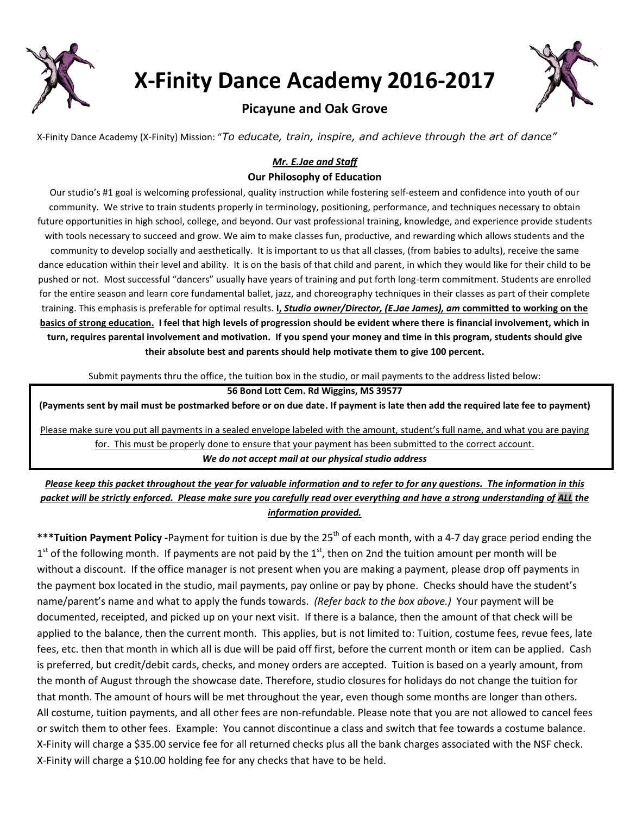

**X-Finity Dance Academy 2016-2017** 



# **Picayune and Oak Grove**

X-Finity Dance Academy (X-Finity) Mission: "*To educate, train, inspire, and achieve through the art of dance"*

# *Mr. E.Jae and Staff*

## **Our Philosophy of Education**

Our studio's #1 goal is welcoming professional, quality instruction while fostering self-esteem and confidence into youth of our community. We strive to train students properly in terminology, positioning, performance, and techniques necessary to obtain future opportunities in high school, college, and beyond. Our vast professional training, knowledge, and experience provide students with tools necessary to succeed and grow. We aim to make classes fun, productive, and rewarding which allows students and the community to develop socially and aesthetically. It is important to us that all classes, (from babies to adults), receive the same dance education within their level and ability. It is on the basis of that child and parent, in which they would like for their child to be pushed or not. Most successful "dancers" usually have years of training and put forth long-term commitment. Students are enrolled for the entire season and learn core fundamental ballet, jazz, and choreography techniques in their classes as part of their complete training. This emphasis is preferable for optimal results. **I,** *Studio owner/Director, (E.Jae James), am* **committed to working on the basics of strong education. I feel that high levels of progression should be evident where there is financial involvement, which in turn, requires parental involvement and motivation. If you spend your money and time in this program, students should give their absolute best and parents should help motivate them to give 100 percent.**

Submit payments thru the office, the tuition box in the studio, or mail payments to the address listed below:

### **56 Bond Lott Cem. Rd Wiggins, MS 39577**

**(Payments sent by mail must be postmarked before or on due date. If payment is late then add the required late fee to payment)**

Please make sure you put all payments in a sealed envelope labeled with the amount, student's full name, and what you are paying for. This must be properly done to ensure that your payment has been submitted to the correct account. *We do not accept mail at our physical studio address*

*Please keep this packet throughout the year for valuable information and to refer to for any questions. The information in this packet will be strictly enforced. Please make sure you carefully read over everything and have a strong understanding of ALL the information provided.*

\*\*\***Tuition Payment Policy** -Payment for tuition is due by the 25<sup>th</sup> of each month, with a 4-7 day grace period ending the  $1<sup>st</sup>$  of the following month. If payments are not paid by the  $1<sup>st</sup>$ , then on 2nd the tuition amount per month will be without a discount. If the office manager is not present when you are making a payment, please drop off payments in the payment box located in the studio, mail payments, pay online or pay by phone. Checks should have the student's name/parent's name and what to apply the funds towards. *(Refer back to the box above.)* Your payment will be documented, receipted, and picked up on your next visit. If there is a balance, then the amount of that check will be applied to the balance, then the current month. This applies, but is not limited to: Tuition, costume fees, revue fees, late fees, etc. then that month in which all is due will be paid off first, before the current month or item can be applied. Cash is preferred, but credit/debit cards, checks, and money orders are accepted. Tuition is based on a yearly amount, from the month of August through the showcase date. Therefore, studio closures for holidays do not change the tuition for that month. The amount of hours will be met throughout the year, even though some months are longer than others. All costume, tuition payments, and all other fees are non-refundable. Please note that you are not allowed to cancel fees or switch them to other fees. Example: You cannot discontinue a class and switch that fee towards a costume balance. X-Finity will charge a \$35.00 service fee for all returned checks plus all the bank charges associated with the NSF check. X-Finity will charge a \$10.00 holding fee for any checks that have to be held.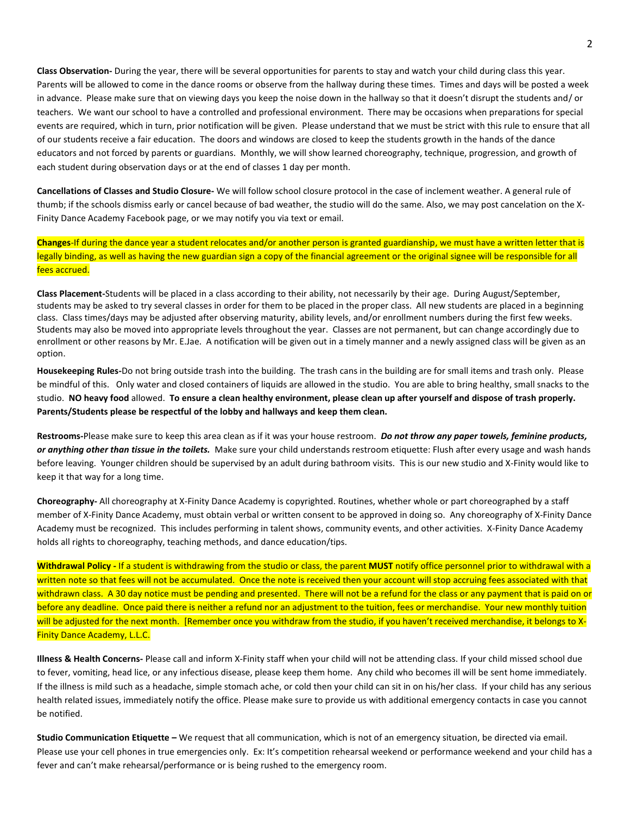**Class Observation-** During the year, there will be several opportunities for parents to stay and watch your child during class this year. Parents will be allowed to come in the dance rooms or observe from the hallway during these times. Times and days will be posted a week in advance. Please make sure that on viewing days you keep the noise down in the hallway so that it doesn't disrupt the students and/ or teachers. We want our school to have a controlled and professional environment. There may be occasions when preparations for special events are required, which in turn, prior notification will be given. Please understand that we must be strict with this rule to ensure that all of our students receive a fair education. The doors and windows are closed to keep the students growth in the hands of the dance educators and not forced by parents or guardians. Monthly, we will show learned choreography, technique, progression, and growth of each student during observation days or at the end of classes 1 day per month.

**Cancellations of Classes and Studio Closure-** We will follow school closure protocol in the case of inclement weather. A general rule of thumb; if the schools dismiss early or cancel because of bad weather, the studio will do the same. Also, we may post cancelation on the X-Finity Dance Academy Facebook page, or we may notify you via text or email.

**Changes**-If during the dance year a student relocates and/or another person is granted guardianship, we must have a written letter that is legally binding, as well as having the new guardian sign a copy of the financial agreement or the original signee will be responsible for all fees accrued.

**Class Placement-**Students will be placed in a class according to their ability, not necessarily by their age. During August/September, students may be asked to try several classes in order for them to be placed in the proper class. All new students are placed in a beginning class. Class times/days may be adjusted after observing maturity, ability levels, and/or enrollment numbers during the first few weeks. Students may also be moved into appropriate levels throughout the year. Classes are not permanent, but can change accordingly due to enrollment or other reasons by Mr. E.Jae. A notification will be given out in a timely manner and a newly assigned class will be given as an option.

**Housekeeping Rules-**Do not bring outside trash into the building. The trash cans in the building are for small items and trash only. Please be mindful of this. Only water and closed containers of liquids are allowed in the studio. You are able to bring healthy, small snacks to the studio. **NO heavy food** allowed. **To ensure a clean healthy environment, please clean up after yourself and dispose of trash properly. Parents/Students please be respectful of the lobby and hallways and keep them clean.** 

**Restrooms-**Please make sure to keep this area clean as if it was your house restroom. *Do not throw any paper towels, feminine products, or anything other than tissue in the toilets.* Make sure your child understands restroom etiquette: Flush after every usage and wash hands before leaving. Younger children should be supervised by an adult during bathroom visits. This is our new studio and X-Finity would like to keep it that way for a long time.

**Choreography-** All choreography at X-Finity Dance Academy is copyrighted. Routines, whether whole or part choreographed by a staff member of X-Finity Dance Academy, must obtain verbal or written consent to be approved in doing so. Any choreography of X-Finity Dance Academy must be recognized. This includes performing in talent shows, community events, and other activities. X-Finity Dance Academy holds all rights to choreography, teaching methods, and dance education/tips.

**Withdrawal Policy -** If a student is withdrawing from the studio or class, the parent **MUST** notify office personnel prior to withdrawal with a written note so that fees will not be accumulated. Once the note is received then your account will stop accruing fees associated with that withdrawn class. A 30 day notice must be pending and presented. There will not be a refund for the class or any payment that is paid on or before any deadline. Once paid there is neither a refund nor an adjustment to the tuition, fees or merchandise. Your new monthly tuition will be adjusted for the next month. [Remember once you withdraw from the studio, if you haven't received merchandise, it belongs to X-Finity Dance Academy, L.L.C.

**Illness & Health Concerns-** Please call and inform X-Finity staff when your child will not be attending class. If your child missed school due to fever, vomiting, head lice, or any infectious disease, please keep them home. Any child who becomes ill will be sent home immediately. If the illness is mild such as a headache, simple stomach ache, or cold then your child can sit in on his/her class. If your child has any serious health related issues, immediately notify the office. Please make sure to provide us with additional emergency contacts in case you cannot be notified.

**Studio Communication Etiquette –** We request that all communication, which is not of an emergency situation, be directed via email. Please use your cell phones in true emergencies only. Ex: It's competition rehearsal weekend or performance weekend and your child has a fever and can't make rehearsal/performance or is being rushed to the emergency room.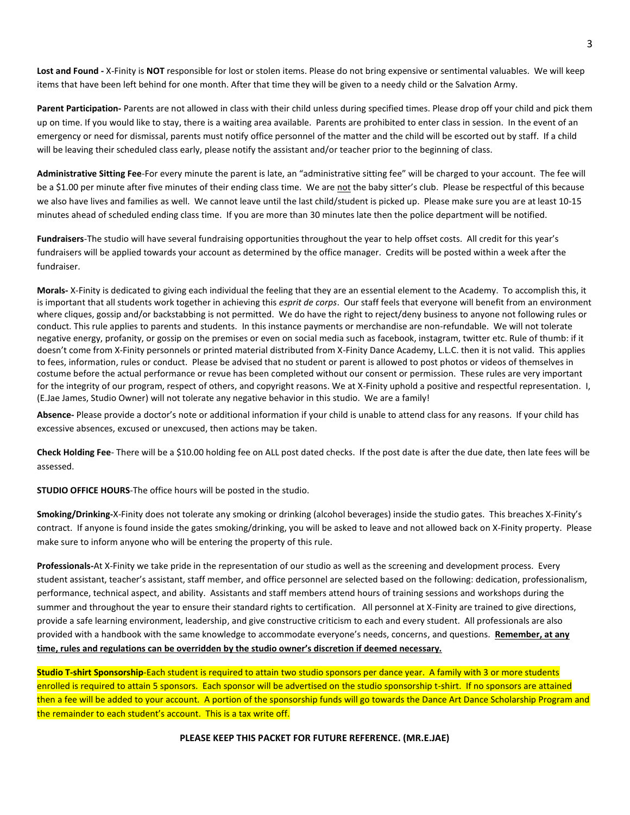**Lost and Found -** X-Finity is **NOT** responsible for lost or stolen items. Please do not bring expensive or sentimental valuables. We will keep items that have been left behind for one month. After that time they will be given to a needy child or the Salvation Army.

**Parent Participation-** Parents are not allowed in class with their child unless during specified times. Please drop off your child and pick them up on time. If you would like to stay, there is a waiting area available. Parents are prohibited to enter class in session. In the event of an emergency or need for dismissal, parents must notify office personnel of the matter and the child will be escorted out by staff. If a child will be leaving their scheduled class early, please notify the assistant and/or teacher prior to the beginning of class.

**Administrative Sitting Fee**-For every minute the parent is late, an "administrative sitting fee" will be charged to your account. The fee will be a \$1.00 per minute after five minutes of their ending class time. We are not the baby sitter's club. Please be respectful of this because we also have lives and families as well. We cannot leave until the last child/student is picked up. Please make sure you are at least 10-15 minutes ahead of scheduled ending class time. If you are more than 30 minutes late then the police department will be notified.

**Fundraisers**-The studio will have several fundraising opportunities throughout the year to help offset costs. All credit for this year's fundraisers will be applied towards your account as determined by the office manager. Credits will be posted within a week after the fundraiser.

**Morals-** X-Finity is dedicated to giving each individual the feeling that they are an essential element to the Academy. To accomplish this, it is important that all students work together in achieving this *esprit de corps*. Our staff feels that everyone will benefit from an environment where cliques, gossip and/or backstabbing is not permitted. We do have the right to reject/deny business to anyone not following rules or conduct. This rule applies to parents and students. In this instance payments or merchandise are non-refundable. We will not tolerate negative energy, profanity, or gossip on the premises or even on social media such as facebook, instagram, twitter etc. Rule of thumb: if it doesn't come from X-Finity personnels or printed material distributed from X-Finity Dance Academy, L.L.C. then it is not valid. This applies to fees, information, rules or conduct. Please be advised that no student or parent is allowed to post photos or videos of themselves in costume before the actual performance or revue has been completed without our consent or permission. These rules are very important for the integrity of our program, respect of others, and copyright reasons. We at X-Finity uphold a positive and respectful representation. I, (E.Jae James, Studio Owner) will not tolerate any negative behavior in this studio. We are a family!

**Absence-** Please provide a doctor's note or additional information if your child is unable to attend class for any reasons. If your child has excessive absences, excused or unexcused, then actions may be taken.

**Check Holding Fee**- There will be a \$10.00 holding fee on ALL post dated checks. If the post date is after the due date, then late fees will be assessed.

**STUDIO OFFICE HOURS**-The office hours will be posted in the studio.

**Smoking/Drinking-**X-Finity does not tolerate any smoking or drinking (alcohol beverages) inside the studio gates. This breaches X-Finity's contract. If anyone is found inside the gates smoking/drinking, you will be asked to leave and not allowed back on X-Finity property. Please make sure to inform anyone who will be entering the property of this rule.

**Professionals-**At X-Finity we take pride in the representation of our studio as well as the screening and development process. Every student assistant, teacher's assistant, staff member, and office personnel are selected based on the following: dedication, professionalism, performance, technical aspect, and ability. Assistants and staff members attend hours of training sessions and workshops during the summer and throughout the year to ensure their standard rights to certification. All personnel at X-Finity are trained to give directions, provide a safe learning environment, leadership, and give constructive criticism to each and every student. All professionals are also provided with a handbook with the same knowledge to accommodate everyone's needs, concerns, and questions. **Remember, at any time, rules and regulations can be overridden by the studio owner's discretion if deemed necessary.**

**Studio T-shirt Sponsorship**-Each student is required to attain two studio sponsors per dance year. A family with 3 or more students enrolled is required to attain 5 sponsors. Each sponsor will be advertised on the studio sponsorship t-shirt. If no sponsors are attained then a fee will be added to your account. A portion of the sponsorship funds will go towards the Dance Art Dance Scholarship Program and the remainder to each student's account. This is a tax write off.

**PLEASE KEEP THIS PACKET FOR FUTURE REFERENCE. (MR.E.JAE)**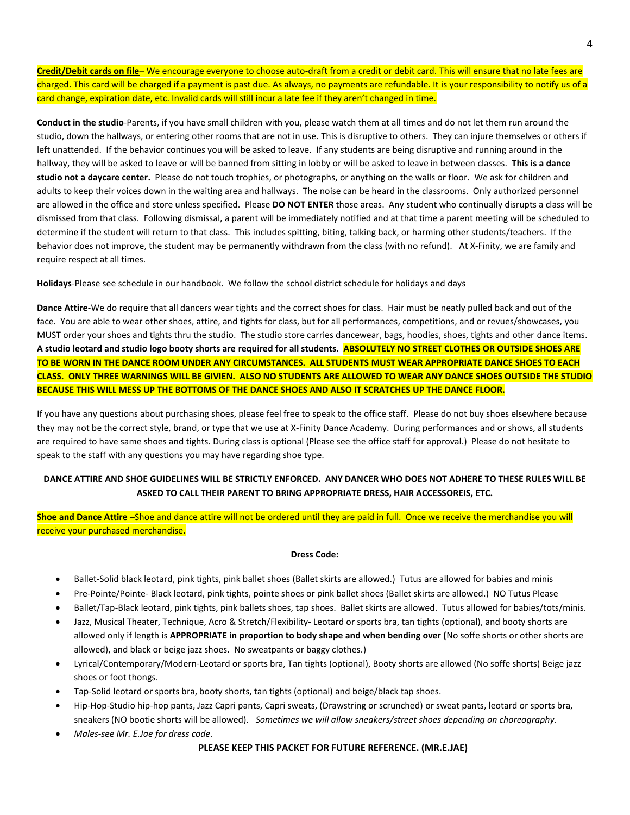**Credit/Debit cards on file**– We encourage everyone to choose auto-draft from a credit or debit card. This will ensure that no late fees are charged. This card will be charged if a payment is past due. As always, no payments are refundable. It is your responsibility to notify us of a card change, expiration date, etc. Invalid cards will still incur a late fee if they aren't changed in time.

**Conduct in the studio**-Parents, if you have small children with you, please watch them at all times and do not let them run around the studio, down the hallways, or entering other rooms that are not in use. This is disruptive to others. They can injure themselves or others if left unattended. If the behavior continues you will be asked to leave. If any students are being disruptive and running around in the hallway, they will be asked to leave or will be banned from sitting in lobby or will be asked to leave in between classes. **This is a dance studio not a daycare center.** Please do not touch trophies, or photographs, or anything on the walls or floor. We ask for children and adults to keep their voices down in the waiting area and hallways. The noise can be heard in the classrooms. Only authorized personnel are allowed in the office and store unless specified. Please **DO NOT ENTER** those areas. Any student who continually disrupts a class will be dismissed from that class. Following dismissal, a parent will be immediately notified and at that time a parent meeting will be scheduled to determine if the student will return to that class. This includes spitting, biting, talking back, or harming other students/teachers. If the behavior does not improve, the student may be permanently withdrawn from the class (with no refund). At X-Finity, we are family and require respect at all times.

**Holidays**-Please see schedule in our handbook. We follow the school district schedule for holidays and days

**Dance Attire**-We do require that all dancers wear tights and the correct shoes for class. Hair must be neatly pulled back and out of the face. You are able to wear other shoes, attire, and tights for class, but for all performances, competitions, and or revues/showcases, you MUST order your shoes and tights thru the studio. The studio store carries dancewear, bags, hoodies, shoes, tights and other dance items. **A studio leotard and studio logo booty shorts are required for all students. ABSOLUTELY NO STREET CLOTHES OR OUTSIDE SHOES ARE TO BE WORN IN THE DANCE ROOM UNDER ANY CIRCUMSTANCES. ALL STUDENTS MUST WEAR APPROPRIATE DANCE SHOES TO EACH CLASS. ONLY THREE WARNINGS WILL BE GIVIEN. ALSO NO STUDENTS ARE ALLOWED TO WEAR ANY DANCE SHOES OUTSIDE THE STUDIO BECAUSE THIS WILL MESS UP THE BOTTOMS OF THE DANCE SHOES AND ALSO IT SCRATCHES UP THE DANCE FLOOR.**

If you have any questions about purchasing shoes, please feel free to speak to the office staff. Please do not buy shoes elsewhere because they may not be the correct style, brand, or type that we use at X-Finity Dance Academy. During performances and or shows, all students are required to have same shoes and tights. During class is optional (Please see the office staff for approval.) Please do not hesitate to speak to the staff with any questions you may have regarding shoe type.

## **DANCE ATTIRE AND SHOE GUIDELINES WILL BE STRICTLY ENFORCED. ANY DANCER WHO DOES NOT ADHERE TO THESE RULES WILL BE ASKED TO CALL THEIR PARENT TO BRING APPROPRIATE DRESS, HAIR ACCESSOREIS, ETC.**

**Shoe and Dance Attire –**Shoe and dance attire will not be ordered until they are paid in full. Once we receive the merchandise you will receive your purchased merchandise.

#### **Dress Code:**

- Ballet-Solid black leotard, pink tights, pink ballet shoes (Ballet skirts are allowed.) Tutus are allowed for babies and minis
- Pre-Pointe/Pointe- Black leotard, pink tights, pointe shoes or pink ballet shoes (Ballet skirts are allowed.) NO Tutus Please
- Ballet/Tap-Black leotard, pink tights, pink ballets shoes, tap shoes. Ballet skirts are allowed. Tutus allowed for babies/tots/minis.
- Jazz, Musical Theater, Technique, Acro & Stretch/Flexibility- Leotard or sports bra, tan tights (optional), and booty shorts are allowed only if length is **APPROPRIATE in proportion to body shape and when bending over (**No soffe shorts or other shorts are allowed), and black or beige jazz shoes. No sweatpants or baggy clothes.)
- Lyrical/Contemporary/Modern-Leotard or sports bra, Tan tights (optional), Booty shorts are allowed (No soffe shorts) Beige jazz shoes or foot thongs.
- Tap-Solid leotard or sports bra, booty shorts, tan tights (optional) and beige/black tap shoes.
- Hip-Hop-Studio hip-hop pants, Jazz Capri pants, Capri sweats, (Drawstring or scrunched) or sweat pants, leotard or sports bra, sneakers (NO bootie shorts will be allowed). *Sometimes we will allow sneakers/street shoes depending on choreography.*
- *Males-see Mr. E.Jae for dress code.*

#### **PLEASE KEEP THIS PACKET FOR FUTURE REFERENCE. (MR.E.JAE)**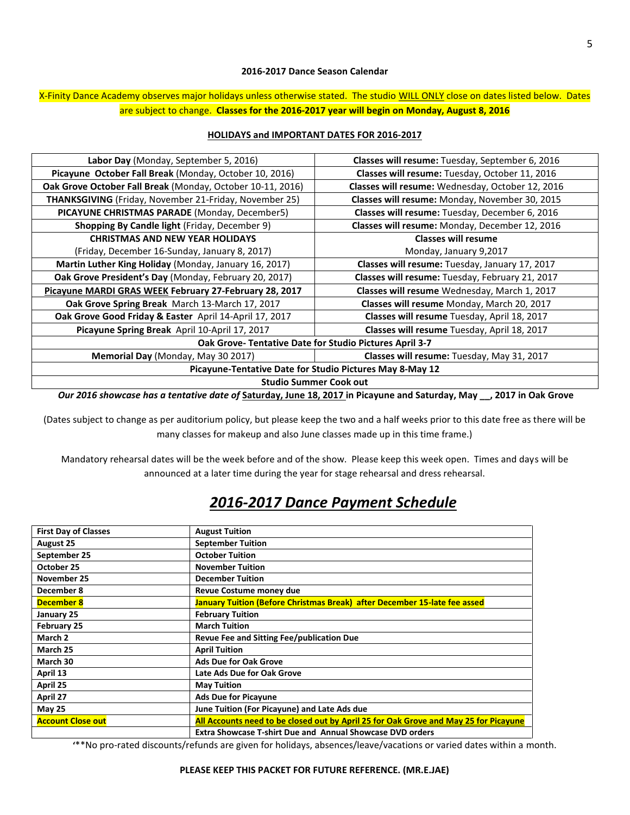### **2016-2017 Dance Season Calendar**

## X-Finity Dance Academy observes major holidays unless otherwise stated. The studio WILL ONLY close on dates listed below. Dates are subject to change. **Classes for the 2016-2017 year will begin on Monday, August 8, 2016**

## **HOLIDAYS and IMPORTANT DATES FOR 2016-2017**

| Labor Day (Monday, September 5, 2016)                         | <b>Classes will resume:</b> Tuesday, September 6, 2016 |  |
|---------------------------------------------------------------|--------------------------------------------------------|--|
| Picayune October Fall Break (Monday, October 10, 2016)        | Classes will resume: Tuesday, October 11, 2016         |  |
| Oak Grove October Fall Break (Monday, October 10-11, 2016)    | Classes will resume: Wednesday, October 12, 2016       |  |
| <b>THANKSGIVING</b> (Friday, November 21-Friday, November 25) | Classes will resume: Monday, November 30, 2015         |  |
| PICAYUNE CHRISTMAS PARADE (Monday, December5)                 | Classes will resume: Tuesday, December 6, 2016         |  |
| <b>Shopping By Candle light (Friday, December 9)</b>          | Classes will resume: Monday, December 12, 2016         |  |
| <b>CHRISTMAS AND NEW YEAR HOLIDAYS</b>                        | <b>Classes will resume</b>                             |  |
| (Friday, December 16-Sunday, January 8, 2017)                 | Monday, January 9,2017                                 |  |
| Martin Luther King Holiday (Monday, January 16, 2017)         | Classes will resume: Tuesday, January 17, 2017         |  |
| Oak Grove President's Day (Monday, February 20, 2017)         | Classes will resume: Tuesday, February 21, 2017        |  |
| Picayune MARDI GRAS WEEK February 27-February 28, 2017        | Classes will resume Wednesday, March 1, 2017           |  |
| Oak Grove Spring Break March 13-March 17, 2017                | Classes will resume Monday, March 20, 2017             |  |
| Oak Grove Good Friday & Easter April 14-April 17, 2017        | Classes will resume Tuesday, April 18, 2017            |  |
| Picayune Spring Break April 10-April 17, 2017                 | Classes will resume Tuesday, April 18, 2017            |  |
| Oak Grove-Tentative Date for Studio Pictures April 3-7        |                                                        |  |
| Memorial Day (Monday, May 30 2017)                            | Classes will resume: Tuesday, May 31, 2017             |  |
| Picayune-Tentative Date for Studio Pictures May 8-May 12      |                                                        |  |
| <b>Studio Summer Cook out</b>                                 |                                                        |  |

*Our 2016 showcase has a tentative date of* **Saturday, June 18, 2017 in Picayune and Saturday, May \_\_, 2017 in Oak Grove** 

(Dates subject to change as per auditorium policy, but please keep the two and a half weeks prior to this date free as there will be many classes for makeup and also June classes made up in this time frame.)

Mandatory rehearsal dates will be the week before and of the show. Please keep this week open. Times and days will be announced at a later time during the year for stage rehearsal and dress rehearsal.

# *2016-2017 Dance Payment Schedule*

| <b>First Day of Classes</b> | <b>August Tuition</b>                                                                |
|-----------------------------|--------------------------------------------------------------------------------------|
| <b>August 25</b>            | <b>September Tuition</b>                                                             |
| September 25                | <b>October Tuition</b>                                                               |
| October 25                  | <b>November Tuition</b>                                                              |
| November 25                 | <b>December Tuition</b>                                                              |
| December 8                  | Revue Costume money due                                                              |
| <b>December 8</b>           | January Tuition (Before Christmas Break) after December 15-late fee assed            |
| January 25                  | <b>February Tuition</b>                                                              |
| <b>February 25</b>          | <b>March Tuition</b>                                                                 |
| March 2                     | Revue Fee and Sitting Fee/publication Due                                            |
| March 25                    | <b>April Tuition</b>                                                                 |
| March 30                    | <b>Ads Due for Oak Grove</b>                                                         |
| April 13                    | Late Ads Due for Oak Grove                                                           |
| April 25                    | <b>May Tuition</b>                                                                   |
| April 27                    | <b>Ads Due for Picayune</b>                                                          |
| <b>May 25</b>               | June Tuition (For Picayune) and Late Ads due                                         |
| <b>Account Close out</b>    | All Accounts need to be closed out by April 25 for Oak Grove and May 25 for Picayune |
|                             | <b>Extra Showcase T-shirt Due and Annual Showcase DVD orders</b>                     |

**'**\*\*No pro-rated discounts/refunds are given for holidays, absences/leave/vacations or varied dates within a month.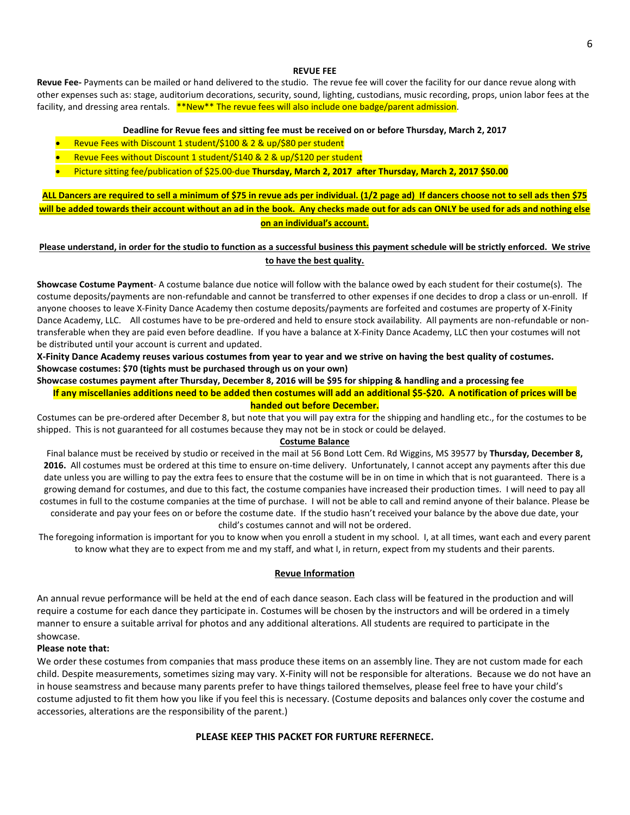### **REVUE FEE**

**Revue Fee-** Payments can be mailed or hand delivered to the studio. The revue fee will cover the facility for our dance revue along with other expenses such as: stage, auditorium decorations, security, sound, lighting, custodians, music recording, props, union labor fees at the facility, and dressing area rentals. \*\*New\*\* The revue fees will also include one badge/parent admission.

#### **Deadline for Revue fees and sitting fee must be received on or before Thursday, March 2, 2017**

- Revue Fees with Discount 1 student/\$100 & 2 & up/\$80 per student
- Revue Fees without Discount 1 student/\$140 & 2 & up/\$120 per student
- Picture sitting fee/publication of \$25.00-due **Thursday, March 2, 2017 after Thursday, March 2, 2017 \$50.00**

**ALL Dancers are required to sell a minimum of \$75 in revue ads per individual. (1/2 page ad) If dancers choose not to sell ads then \$75 will be added towards their account without an ad in the book. Any checks made out for ads can ONLY be used for ads and nothing else on an individual's account.** 

### **Please understand, in order for the studio to function as a successful business this payment schedule will be strictly enforced. We strive to have the best quality.**

**Showcase Costume Payment**- A costume balance due notice will follow with the balance owed by each student for their costume(s). The costume deposits/payments are non-refundable and cannot be transferred to other expenses if one decides to drop a class or un-enroll. If anyone chooses to leave X-Finity Dance Academy then costume deposits/payments are forfeited and costumes are property of X-Finity Dance Academy, LLC. All costumes have to be pre-ordered and held to ensure stock availability. All payments are non-refundable or nontransferable when they are paid even before deadline. If you have a balance at X-Finity Dance Academy, LLC then your costumes will not be distributed until your account is current and updated.

**X-Finity Dance Academy reuses various costumes from year to year and we strive on having the best quality of costumes. Showcase costumes: \$70 (tights must be purchased through us on your own)**

**Showcase costumes payment after Thursday, December 8, 2016 will be \$95 for shipping & handling and a processing fee**

**If any miscellanies additions need to be added then costumes will add an additional \$5-\$20. A notification of prices will be handed out before December.** 

Costumes can be pre-ordered after December 8, but note that you will pay extra for the shipping and handling etc., for the costumes to be shipped. This is not guaranteed for all costumes because they may not be in stock or could be delayed.

#### **Costume Balance**

Final balance must be received by studio or received in the mail at 56 Bond Lott Cem. Rd Wiggins, MS 39577 by **Thursday, December 8, 2016.** All costumes must be ordered at this time to ensure on-time delivery. Unfortunately, I cannot accept any payments after this due date unless you are willing to pay the extra fees to ensure that the costume will be in on time in which that is not guaranteed. There is a growing demand for costumes, and due to this fact, the costume companies have increased their production times. I will need to pay all costumes in full to the costume companies at the time of purchase. I will not be able to call and remind anyone of their balance. Please be considerate and pay your fees on or before the costume date. If the studio hasn't received your balance by the above due date, your child's costumes cannot and will not be ordered.

The foregoing information is important for you to know when you enroll a student in my school. I, at all times, want each and every parent to know what they are to expect from me and my staff, and what I, in return, expect from my students and their parents.

#### **Revue Information**

An annual revue performance will be held at the end of each dance season. Each class will be featured in the production and will require a costume for each dance they participate in. Costumes will be chosen by the instructors and will be ordered in a timely manner to ensure a suitable arrival for photos and any additional alterations. All students are required to participate in the showcase.

#### **Please note that:**

We order these costumes from companies that mass produce these items on an assembly line. They are not custom made for each child. Despite measurements, sometimes sizing may vary. X-Finity will not be responsible for alterations. Because we do not have an in house seamstress and because many parents prefer to have things tailored themselves, please feel free to have your child's costume adjusted to fit them how you like if you feel this is necessary. (Costume deposits and balances only cover the costume and accessories, alterations are the responsibility of the parent.)

### **PLEASE KEEP THIS PACKET FOR FURTURE REFERNECE.**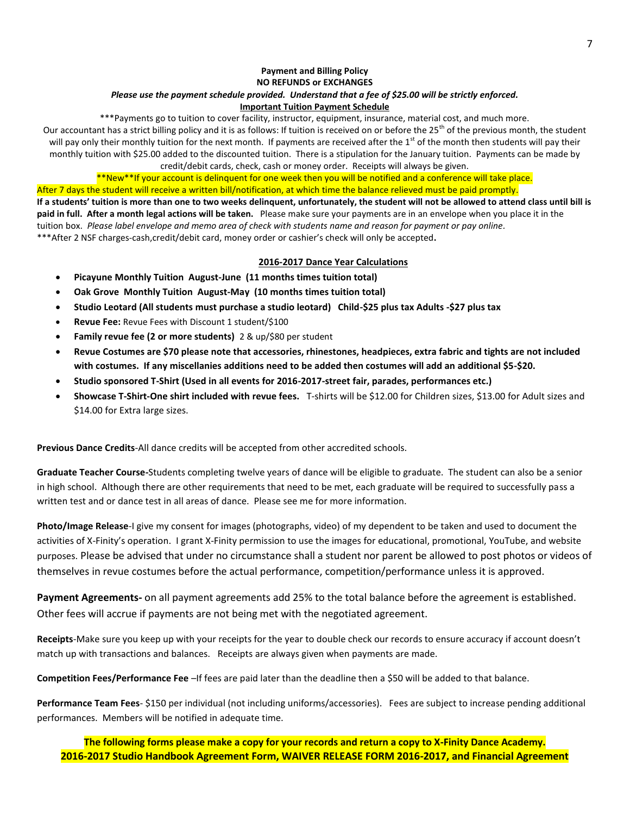# **Payment and Billing Policy NO REFUNDS or EXCHANGES**

# *Please use the payment schedule provided. Understand that a fee of \$25.00 will be strictly enforced.*

# **Important Tuition Payment Schedule**

\*\*\*Payments go to tuition to cover facility, instructor, equipment, insurance, material cost, and much more. Our accountant has a strict billing policy and it is as follows: If tuition is received on or before the 25<sup>th</sup> of the previous month, the student will pay only their monthly tuition for the next month. If payments are received after the  $1<sup>st</sup>$  of the month then students will pay their monthly tuition with \$25.00 added to the discounted tuition. There is a stipulation for the January tuition. Payments can be made by credit/debit cards, check, cash or money order. Receipts will always be given.

\*\*New\*\*If your account is delinquent for one week then you will be notified and a conference will take place. After 7 days the student will receive a written bill/notification, at which time the balance relieved must be paid promptly.

**If a students' tuition is more than one to two weeks delinquent, unfortunately, the student will not be allowed to attend class until bill is paid in full. After a month legal actions will be taken.** Please make sure your payments are in an envelope when you place it in the tuition box. *Please label envelope and memo area of check with students name and reason for payment or pay online.* \*\*\*After 2 NSF charges-cash,credit/debit card, money order or cashier's check will only be accepted**.** 

## **2016-2017 Dance Year Calculations**

- **Picayune Monthly Tuition August-June (11 months times tuition total)**
- **Oak Grove Monthly Tuition August-May (10 months times tuition total)**
- **Studio Leotard (All students must purchase a studio leotard) Child-\$25 plus tax Adults -\$27 plus tax**
- **Revue Fee:** Revue Fees with Discount 1 student/\$100
- **Family revue fee (2 or more students)** 2 & up/\$80 per student
- **Revue Costumes are \$70 please note that accessories, rhinestones, headpieces, extra fabric and tights are not included with costumes. If any miscellanies additions need to be added then costumes will add an additional \$5-\$20.**
- **Studio sponsored T-Shirt (Used in all events for 2016-2017-street fair, parades, performances etc.)**
- **Showcase T-Shirt-One shirt included with revue fees.** T-shirts will be \$12.00 for Children sizes, \$13.00 for Adult sizes and \$14.00 for Extra large sizes.

**Previous Dance Credits**-All dance credits will be accepted from other accredited schools.

**Graduate Teacher Course-**Students completing twelve years of dance will be eligible to graduate. The student can also be a senior in high school. Although there are other requirements that need to be met, each graduate will be required to successfully pass a written test and or dance test in all areas of dance. Please see me for more information.

**Photo/Image Release**-I give my consent for images (photographs, video) of my dependent to be taken and used to document the activities of X-Finity's operation. I grant X-Finity permission to use the images for educational, promotional, YouTube, and website purposes. Please be advised that under no circumstance shall a student nor parent be allowed to post photos or videos of themselves in revue costumes before the actual performance, competition/performance unless it is approved.

**Payment Agreements-** on all payment agreements add 25% to the total balance before the agreement is established. Other fees will accrue if payments are not being met with the negotiated agreement.

**Receipts**-Make sure you keep up with your receipts for the year to double check our records to ensure accuracy if account doesn't match up with transactions and balances. Receipts are always given when payments are made.

**Competition Fees/Performance Fee** –If fees are paid later than the deadline then a \$50 will be added to that balance.

**Performance Team Fees**- \$150 per individual (not including uniforms/accessories). Fees are subject to increase pending additional performances. Members will be notified in adequate time.

**The following forms please make a copy for your records and return a copy to X-Finity Dance Academy. 2016-2017 Studio Handbook Agreement Form, WAIVER RELEASE FORM 2016-2017, and Financial Agreement**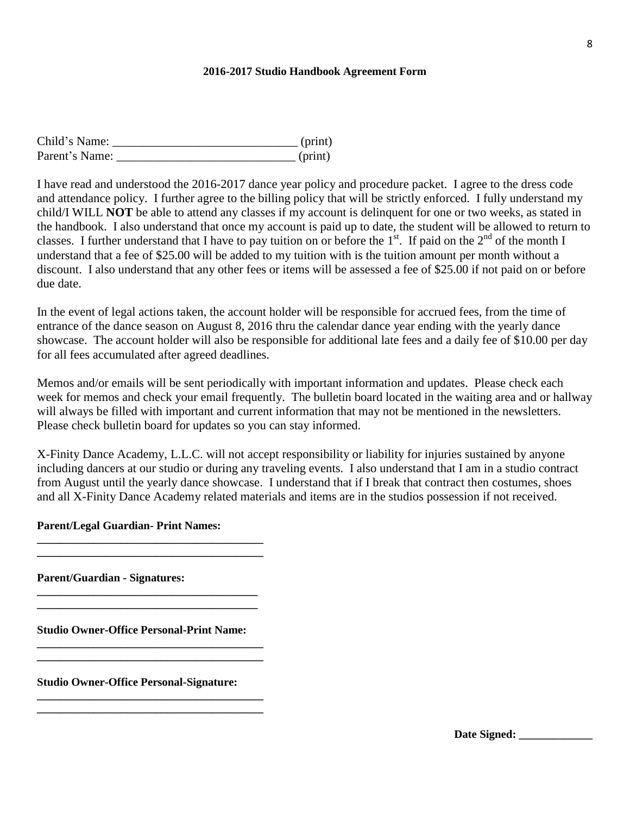## **2016-2017 Studio Handbook Agreement Form**

| Child's Name:  | (print) |
|----------------|---------|
| Parent's Name: | (print) |

I have read and understood the 2016-2017 dance year policy and procedure packet. I agree to the dress code and attendance policy. I further agree to the billing policy that will be strictly enforced. I fully understand my child/I WILL **NOT** be able to attend any classes if my account is delinquent for one or two weeks, as stated in the handbook. I also understand that once my account is paid up to date, the student will be allowed to return to classes. I further understand that I have to pay tuition on or before the  $1<sup>st</sup>$ . If paid on the  $2<sup>nd</sup>$  of the month I understand that a fee of \$25.00 will be added to my tuition with is the tuition amount per month without a discount. I also understand that any other fees or items will be assessed a fee of \$25.00 if not paid on or before due date.

In the event of legal actions taken, the account holder will be responsible for accrued fees, from the time of entrance of the dance season on August 8, 2016 thru the calendar dance year ending with the yearly dance showcase. The account holder will also be responsible for additional late fees and a daily fee of \$10.00 per day for all fees accumulated after agreed deadlines.

Memos and/or emails will be sent periodically with important information and updates. Please check each week for memos and check your email frequently. The bulletin board located in the waiting area and or hallway will always be filled with important and current information that may not be mentioned in the newsletters. Please check bulletin board for updates so you can stay informed.

X-Finity Dance Academy, L.L.C. will not accept responsibility or liability for injuries sustained by anyone including dancers at our studio or during any traveling events. I also understand that I am in a studio contract from August until the yearly dance showcase. I understand that if I break that contract then costumes, shoes and all X-Finity Dance Academy related materials and items are in the studios possession if not received.

## **Parent/Legal Guardian- Print Names:**

**\_\_\_\_\_\_\_\_\_\_\_\_\_\_\_\_\_\_\_\_\_\_\_\_\_\_\_\_\_\_\_\_\_\_\_\_\_\_\_\_ \_\_\_\_\_\_\_\_\_\_\_\_\_\_\_\_\_\_\_\_\_\_\_\_\_\_\_\_\_\_\_\_\_\_\_\_\_\_\_\_**

**Parent/Guardian - Signatures:** 

**Studio Owner-Office Personal-Print Name:** 

**\_\_\_\_\_\_\_\_\_\_\_\_\_\_\_\_\_\_\_\_\_\_\_\_\_\_\_\_\_\_\_\_\_\_\_\_\_\_\_\_ \_\_\_\_\_\_\_\_\_\_\_\_\_\_\_\_\_\_\_\_\_\_\_\_\_\_\_\_\_\_\_\_\_\_\_\_\_\_\_\_**

**\_\_\_\_\_\_\_\_\_\_\_\_\_\_\_\_\_\_\_\_\_\_\_\_\_\_\_\_\_\_\_\_\_\_\_\_\_\_\_\_ \_\_\_\_\_\_\_\_\_\_\_\_\_\_\_\_\_\_\_\_\_\_\_\_\_\_\_\_\_\_\_\_\_\_\_\_\_\_\_\_**

**\_\_\_\_\_\_\_\_\_\_\_\_\_\_\_\_\_\_\_\_\_\_\_\_\_\_\_\_\_\_\_\_\_\_\_\_\_\_\_ \_\_\_\_\_\_\_\_\_\_\_\_\_\_\_\_\_\_\_\_\_\_\_\_\_\_\_\_\_\_\_\_\_\_\_\_\_\_\_** 

**Studio Owner-Office Personal-Signature:** 

8

Date Signed: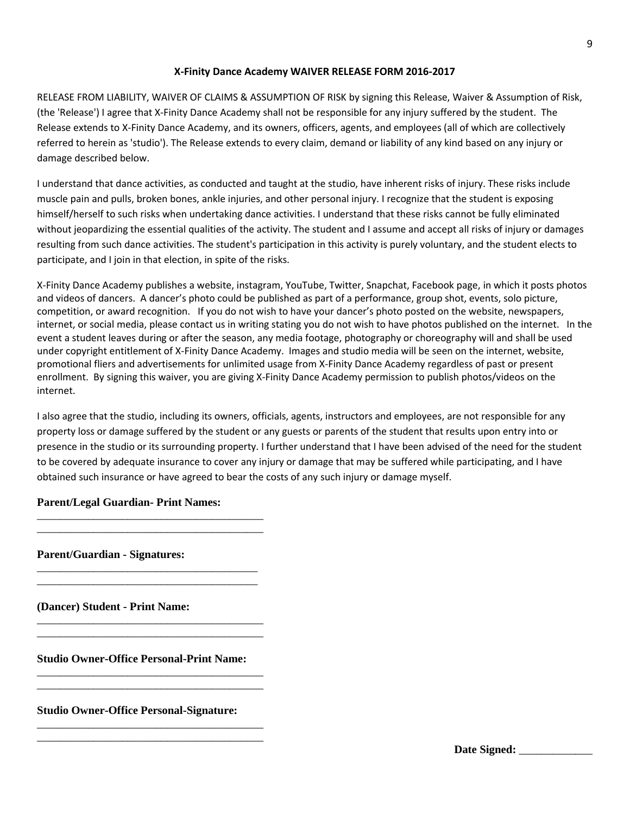## **X-Finity Dance Academy WAIVER RELEASE FORM 2016-2017**

RELEASE FROM LIABILITY, WAIVER OF CLAIMS & ASSUMPTION OF RISK by signing this Release, Waiver & Assumption of Risk, (the 'Release') I agree that X-Finity Dance Academy shall not be responsible for any injury suffered by the student. The Release extends to X-Finity Dance Academy, and its owners, officers, agents, and employees (all of which are collectively referred to herein as 'studio'). The Release extends to every claim, demand or liability of any kind based on any injury or damage described below.

I understand that dance activities, as conducted and taught at the studio, have inherent risks of injury. These risks include muscle pain and pulls, broken bones, ankle injuries, and other personal injury. I recognize that the student is exposing himself/herself to such risks when undertaking dance activities. I understand that these risks cannot be fully eliminated without jeopardizing the essential qualities of the activity. The student and I assume and accept all risks of injury or damages resulting from such dance activities. The student's participation in this activity is purely voluntary, and the student elects to participate, and I join in that election, in spite of the risks.

X-Finity Dance Academy publishes a website, instagram, YouTube, Twitter, Snapchat, Facebook page, in which it posts photos and videos of dancers. A dancer's photo could be published as part of a performance, group shot, events, solo picture, competition, or award recognition. If you do not wish to have your dancer's photo posted on the website, newspapers, internet, or social media, please contact us in writing stating you do not wish to have photos published on the internet. In the event a student leaves during or after the season, any media footage, photography or choreography will and shall be used under copyright entitlement of X-Finity Dance Academy. Images and studio media will be seen on the internet, website, promotional fliers and advertisements for unlimited usage from X-Finity Dance Academy regardless of past or present enrollment. By signing this waiver, you are giving X-Finity Dance Academy permission to publish photos/videos on the internet.

I also agree that the studio, including its owners, officials, agents, instructors and employees, are not responsible for any property loss or damage suffered by the student or any guests or parents of the student that results upon entry into or presence in the studio or its surrounding property. I further understand that I have been advised of the need for the student to be covered by adequate insurance to cover any injury or damage that may be suffered while participating, and I have obtained such insurance or have agreed to bear the costs of any such injury or damage myself.

## **Parent/Legal Guardian- Print Names:**

\_\_\_\_\_\_\_\_\_\_\_\_\_\_\_\_\_\_\_\_\_\_\_\_\_\_\_\_\_\_\_\_\_\_\_\_\_\_\_\_ \_\_\_\_\_\_\_\_\_\_\_\_\_\_\_\_\_\_\_\_\_\_\_\_\_\_\_\_\_\_\_\_\_\_\_\_\_\_\_\_

\_\_\_\_\_\_\_\_\_\_\_\_\_\_\_\_\_\_\_\_\_\_\_\_\_\_\_\_\_\_\_\_\_\_\_\_\_\_\_ \_\_\_\_\_\_\_\_\_\_\_\_\_\_\_\_\_\_\_\_\_\_\_\_\_\_\_\_\_\_\_\_\_\_\_\_\_\_\_

\_\_\_\_\_\_\_\_\_\_\_\_\_\_\_\_\_\_\_\_\_\_\_\_\_\_\_\_\_\_\_\_\_\_\_\_\_\_\_\_ \_\_\_\_\_\_\_\_\_\_\_\_\_\_\_\_\_\_\_\_\_\_\_\_\_\_\_\_\_\_\_\_\_\_\_\_\_\_\_\_

\_\_\_\_\_\_\_\_\_\_\_\_\_\_\_\_\_\_\_\_\_\_\_\_\_\_\_\_\_\_\_\_\_\_\_\_\_\_\_\_ \_\_\_\_\_\_\_\_\_\_\_\_\_\_\_\_\_\_\_\_\_\_\_\_\_\_\_\_\_\_\_\_\_\_\_\_\_\_\_\_

\_\_\_\_\_\_\_\_\_\_\_\_\_\_\_\_\_\_\_\_\_\_\_\_\_\_\_\_\_\_\_\_\_\_\_\_\_\_\_\_ \_\_\_\_\_\_\_\_\_\_\_\_\_\_\_\_\_\_\_\_\_\_\_\_\_\_\_\_\_\_\_\_\_\_\_\_\_\_\_\_

**Parent/Guardian - Signatures:** 

**(Dancer) Student - Print Name:** 

**Studio Owner-Office Personal-Print Name:** 

**Studio Owner-Office Personal-Signature:** 

Date Signed: